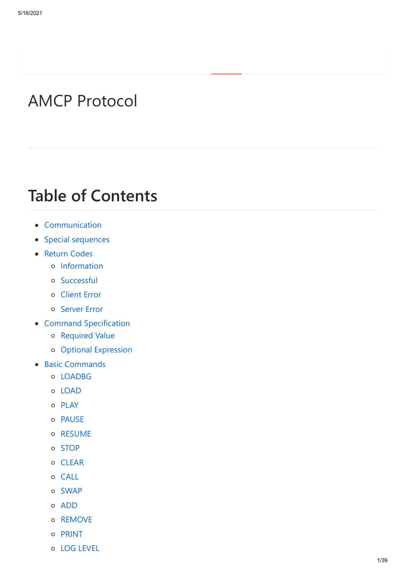# AMCP Protocol

# **Table of Contents**

- Communication
- Special sequences
- Return Codes
	- o Information
	- o Successful
	- Client Error
	- o Server Error
- Command Specification
	- o Required Value
	- Optional Expression
- Basic Commands
	- o LOADBG
	- o LOAD
	- o PLAY
	- o PAUSE
	- o RESUME
	- o STOP
	- o CLEAR
	- o CALL
	- SWAP
	- ADD
	- o REMOVE
	- o PRINT
	- LOG LEVEL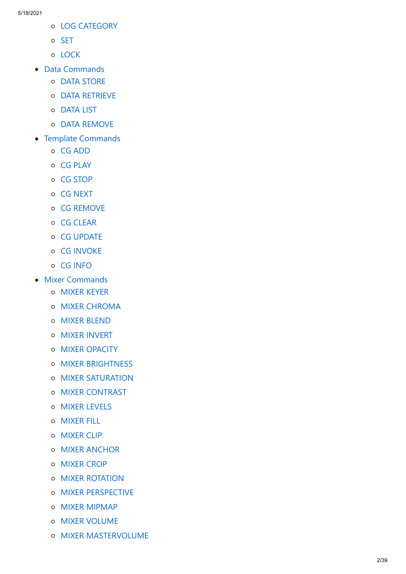- LOG CATEGORY
- o SET
- o LOCK
- Data Commands
	- o DATA STORE
	- DATA RETRIEVE
	- o DATA LIST
	- o DATA REMOVE
- Template Commands
	- CG ADD
	- o CG PLAY
	- o CG STOP
	- o CG NEXT
	- CG REMOVE
	- o CG CLEAR
	- o CG UPDATE
	- o CG INVOKE
	- o CG INFO
- Mixer Commands
	- MIXER KEYER
	- o MIXER CHROMA
	- MIXER BLEND
	- MIXER INVERT
	- o MIXER OPACITY
	- **O** MIXER BRIGHTNESS
	- o MIXER SATURATION
	- o MIXER CONTRAST
	- **O** MIXER LEVELS
	- MIXER FILL
	- o MIXER CLIP
	- **O** MIXER ANCHOR
	- o MIXER CROP
	- **O** MIXER ROTATION
	- o MIXER PERSPECTIVE
	- o MIXER MIPMAP
	- o MIXER VOLUME
	- o MIXER MASTERVOLUME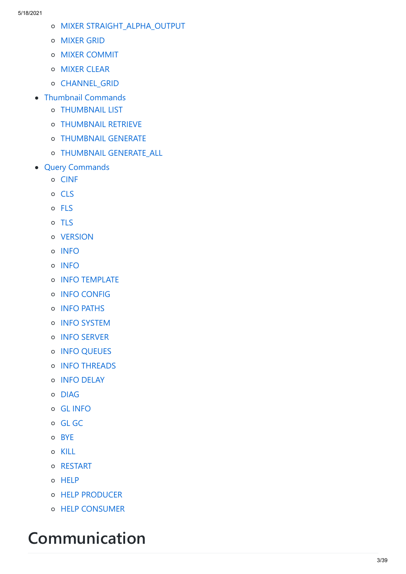- MIXER STRAIGHT\_ALPHA\_OUTPUT
- MIXER GRID
- o MIXER COMMIT
- o **MIXER CLEAR**
- o CHANNEL GRID
- Thumbnail Commands
	- THUMBNAIL LIST
	- THUMBNAIL RETRIEVE
	- THUMBNAIL GENERATE
	- THUMBNAIL GENERATE\_ALL
- Query Commands
	- o CINF
	- o CLS
	- o FLS
	- o TLS
	- o VERSION
	- o INFO
	- o INFO
	- **O** INFO TEMPLATE
	- o INFO CONFIG
	- o INFO PATHS
	- **O** INFO SYSTEM
	- **o** INFO SERVER
	- **o** INFO QUEUES
	- **O** INFO THREADS
	- **O** INFO DELAY
	- DIAG
	- GL INFO
	- o GL GC
	- o BYE
	- o KILL
	- o RESTART
	- o HELP
	- HELP PRODUCER
	- o HELP CONSUMER

# **Communication**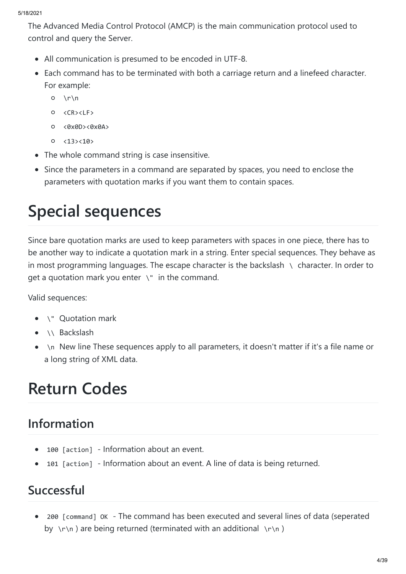The Advanced Media Control Protocol (AMCP) is the main communication protocol used to control and query the Server.

- All communication is presumed to be encoded in UTF-8.
- Each command has to be terminated with both a carriage return and a linefeed character. For example:
	- $O \ \ \lvert r \rvert$
	- <CR><LF>
	- <0x0D><0x0A>
	- $0 \times 13 \times 10$
- The whole command string is case insensitive.
- Since the parameters in a command are separated by spaces, you need to enclose the parameters with quotation marks if you want them to contain spaces.

# **Special sequences**

Since bare quotation marks are used to keep parameters with spaces in one piece, there has to be another way to indicate a quotation mark in a string. Enter special sequences. They behave as in most programming languages. The escape character is the backslash  $\setminus$  character. In order to get a quotation mark you enter  $\setminus$ " in the command.

Valid sequences:

- \" Quotation mark  $\bullet$
- \\ Backslash
- \n New line These sequences apply to all parameters, it doesn't matter if it's a file name or  $\bullet$ a long string of XML data.

# **Return Codes**

# **Information**

- 100 [action] Information about an event.  $\bullet$
- 101 [action] Information about an event. A line of data is being returned.  $\bullet$

# **Successful**

200 [command] OK - The command has been executed and several lines of data (seperated  $\bullet$ by \r\n) are being returned (terminated with an additional \r\n)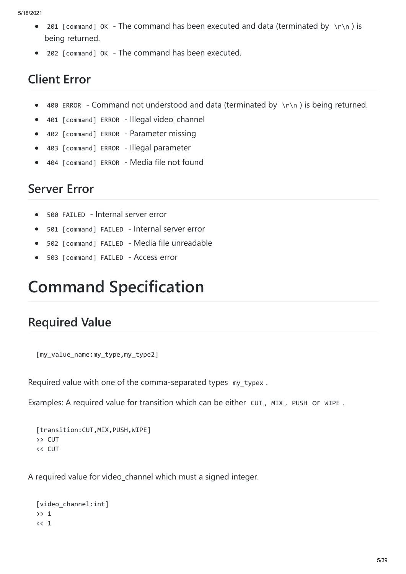- 201 [command] OK The command has been executed and data (terminated by  $\Gamma$ ) is  $\bullet$ being returned.
- 202 [command] OK The command has been executed.  $\bullet$

# **Client Error**

- 400 ERROR Command not understood and data (terminated by  $\mathcal{N}$ n) is being returned.  $\bullet$
- 401 [command] ERROR Illegal video\_channel  $\bullet$
- 402 [command] ERROR Parameter missing  $\bullet$
- 403 [command] ERROR Illegal parameter  $\bullet$
- 404 [command] ERROR Media file not found

#### **Server Error**

- 500 FAILED Internal server error  $\bullet$
- 501 [command] FAILED Internal server error  $\bullet$
- 502 [command] FAILED Media file unreadable  $\bullet$
- 503 [command] FAILED Access error  $\bullet$

# **Command Specification**

# **Required Value**

[my\_value\_name:my\_type,my\_type2]

Required value with one of the comma-separated types my\_typex .

Examples: A required value for transition which can be either CUT , MIX , PUSH or WIPE .

```
[transition:CUT, MIX, PUSH, WIPE]
>> CUT
<< CUT
```
A required value for video channel which must a signed integer.

```
[video_channel:int] 
>> 1
<< 1
```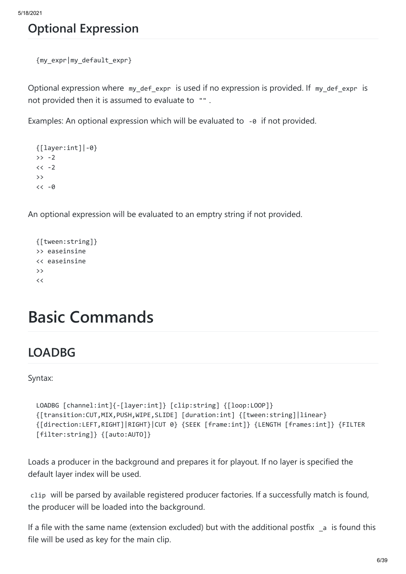### **Optional Expression**

```
{my_expr|my_default_expr}
```
Optional expression where my\_def\_expr is used if no expression is provided. If my\_def\_expr is not provided then it is assumed to evaluate to "" .

Examples: An optional expression which will be evaluated to -0 if not provided.

```
{[layer:int]|-0} 
>> -2<< -2>>
<< -0
```
An optional expression will be evaluated to an emptry string if not provided.

```
{[tween:string]} 
>> easeinsine
<< easeinsine
>>
\,<
```
# **Basic Commands**

### **LOADBG**

Syntax:

```
LOADBG [channel:int]{-[layer:int]} [clip:string] {[loop:LOOP]} 
{[transition:CUT,MIX,PUSH,WIPE,SLIDE] [duration:int] {[tween:string]|linear} 
{[direction:LEFT,RIGHT]|RIGHT}|CUT 0} {SEEK [frame:int]} {LENGTH [frames:int]} {FILTER 
[filter:string]} {[auto:AUTO]}
```
Loads a producer in the background and prepares it for playout. If no layer is specified the default layer index will be used.

clip will be parsed by available registered producer factories. If a successfully match is found, the producer will be loaded into the background.

If a file with the same name (extension excluded) but with the additional postfix  $\epsilon$  is found this file will be used as key for the main clip.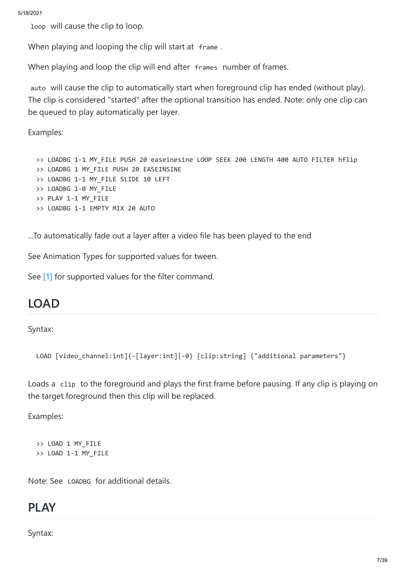loop will cause the clip to loop.

When playing and looping the clip will start at frame.

When playing and loop the clip will end after frames number of frames.

auto will cause the clip to automatically start when foreground clip has ended (without play). The clip is considered "started" after the optional transition has ended. Note: only one clip can be queued to play automatically per layer.

Examples:

>> LOADBG 1-1 MY\_FILE PUSH 20 easeinesine LOOP SEEK 200 LENGTH 400 AUTO FILTER hflip >> LOADBG 1 MY\_FILE PUSH 20 EASEINSINE >> LOADBG 1-1 MY FILE SLIDE 10 LEFT >> LOADBG 1-0 MY\_FILE >> PLAY 1-1 MY\_FILE >> LOADBG 1-1 EMPTY MIX 20 AUTO

...To automatically fade out a layer after a video file has been played to the end

See Animation Types for supported values for tween.

See [1] for supported values for the filter command.

#### **LOAD**

Syntax:

```
LOAD [video_channel:int]{-[layer:int]|-0} [clip:string] {"additional parameters"}
```
Loads a clip to the foreground and plays the first frame before pausing. If any clip is playing on the target foreground then this clip will be replaced.

Examples:

```
>> LOAD 1 MY_FILE
>> LOAD 1-1 MY_FILE
```
Note: See LOADBG for additional details.

#### **PLAY**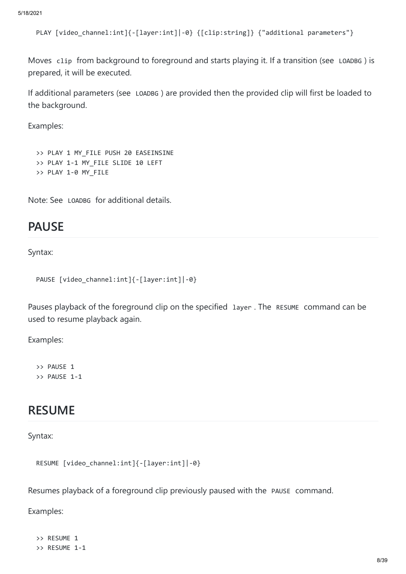```
PLAY [video_channel:int]{-[layer:int]|-0} {[clip:string]} {"additional parameters"}
```
Moves clip from background to foreground and starts playing it. If a transition (see LOADBG ) is prepared, it will be executed.

If additional parameters (see LOADBG ) are provided then the provided clip will first be loaded to the background.

Examples:

```
>> PLAY 1 MY FILE PUSH 20 EASEINSINE
>> PLAY 1-1 MY FILE SLIDE 10 LEFT
>> PLAY 1-0 MY_FILE
```
Note: See LOADBG for additional details.

#### **PAUSE**

Syntax:

```
PAUSE [video_channel:int]{-[layer:int]|-0}
```
Pauses playback of the foreground clip on the specified layer. The RESUME command can be used to resume playback again.

Examples:

>> PAUSE 1 >> PAUSE 1-1

#### **RESUME**

Syntax:

```
RESUME [video_channel:int]{-[layer:int]|-0}
```
Resumes playback of a foreground clip previously paused with the PAUSE command.

Examples:

```
>> RESUME 1
>> RESUME 1-1
```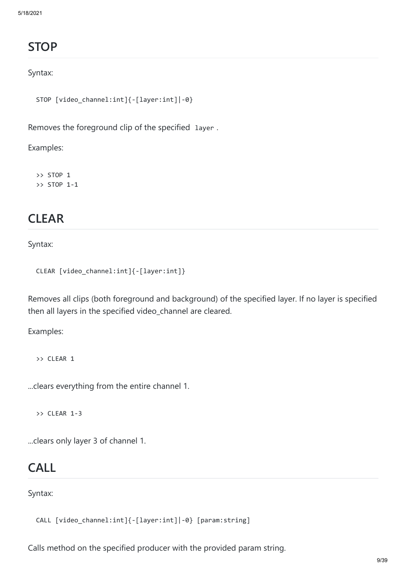# **STOP**

#### Syntax:

```
STOP [video_channel:int]{-[layer:int]|-0}
```
Removes the foreground clip of the specified layer .

Examples:

>> STOP 1 >> STOP 1-1

#### **CLEAR**

Syntax:

```
CLEAR [video_channel:int]{-[layer:int]}
```
Removes all clips (both foreground and background) of the specified layer. If no layer is specified then all layers in the specified video\_channel are cleared.

Examples:

>> CLEAR 1

...clears everything from the entire channel 1.

>> CLEAR 1-3

...clears only layer 3 of channel 1.

#### **CALL**

Syntax:

CALL [video\_channel:int]{-[layer:int]|-0} [param:string]

Calls method on the specified producer with the provided param string.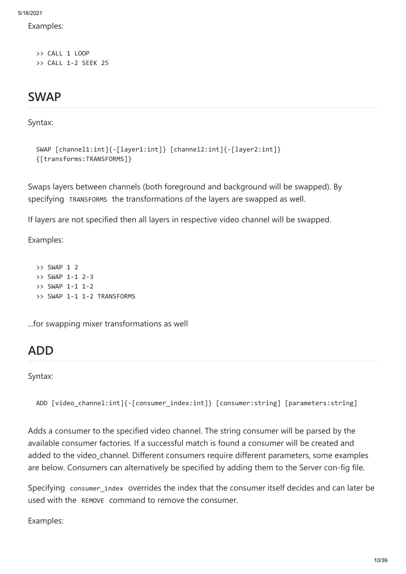Examples:

>> CALL 1 LOOP >> CALL 1-2 SEEK 25

#### **SWAP**

Syntax:

```
SWAP [channel1:int]{-[layer1:int]} [channel2:int]{-[layer2:int]} 
{[transforms:TRANSFORMS]}
```
Swaps layers between channels (both foreground and background will be swapped). By specifying TRANSFORMS the transformations of the layers are swapped as well.

If layers are not specified then all layers in respective video channel will be swapped.

Examples:

>> SWAP 1 2 >> SWAP 1-1 2-3 >> SWAP 1-1 1-2 >> SWAP 1-1 1-2 TRANSFORMS

...for swapping mixer transformations as well

# **ADD**

Syntax:

```
ADD [video channel:int]{-[consumer_index:int]} [consumer:string] [parameters:string]
```
Adds a consumer to the specified video channel. The string consumer will be parsed by the available consumer factories. If a successful match is found a consumer will be created and added to the video channel. Different consumers require different parameters, some examples are below. Consumers can alternatively be specified by adding them to the Server con-fig file.

Specifying consumer index overrides the index that the consumer itself decides and can later be used with the REMOVE command to remove the consumer.

Examples: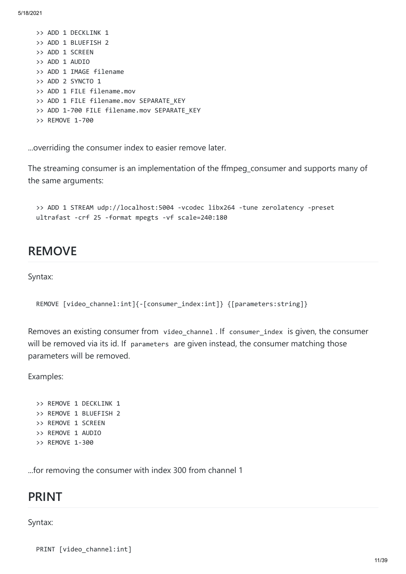>> ADD 1 DECKLINK 1 >> ADD 1 BLUEFISH 2 >> ADD 1 SCREEN >> ADD 1 AUDIO >> ADD 1 IMAGE filename >> ADD 2 SYNCTO 1 >> ADD 1 FILE filename.mov >> ADD 1 FILE filename.mov SEPARATE KEY >> ADD 1-700 FILE filename.mov SEPARATE KEY >> REMOVE 1-700

...overriding the consumer index to easier remove later.

The streaming consumer is an implementation of the ffmpeg\_consumer and supports many of the same arguments:

>> ADD 1 STREAM udp://localhost:5004 -vcodec libx264 -tune zerolatency -preset ultrafast -crf 25 -format mpegts -vf scale=240:180

#### **REMOVE**

Syntax:

```
REMOVE [video_channel:int]{-[consumer_index:int]} {[parameters:string]}
```
Removes an existing consumer from video channel . If consumer index is given, the consumer will be removed via its id. If parameters are given instead, the consumer matching those parameters will be removed.

Examples:

```
>> REMOVE 1 DECKLINK 1
>> REMOVE 1 BLUEFISH 2
>> REMOVE 1 SCREEN
>> REMOVE 1 AUDIO
>> REMOVE 1-300
```
...for removing the consumer with index 300 from channel 1

#### **PRINT**

#### Syntax:

PRINT [video\_channel:int]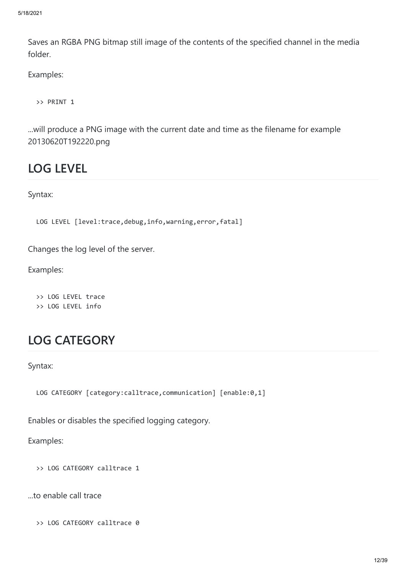Saves an RGBA PNG bitmap still image of the contents of the specified channel in the media folder.

Examples:

>> PRINT 1

...will produce a PNG image with the current date and time as the filename for example 20130620T192220.png

#### **LOG LEVEL**

Syntax:

LOG LEVEL [level:trace,debug,info,warning,error,fatal]

Changes the log level of the server.

Examples:

>> LOG LEVEL trace >> LOG LEVEL info

### **LOG CATEGORY**

Syntax:

LOG CATEGORY [category:calltrace, communication] [enable:0,1]

Enables or disables the specified logging category.

Examples:

>> LOG CATEGORY calltrace 1

...to enable call trace

>> LOG CATEGORY calltrace 0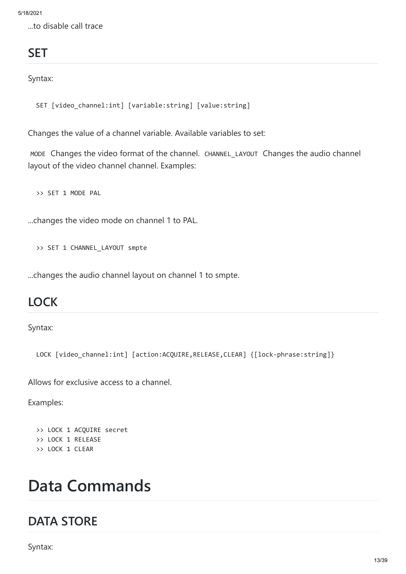...to disable call trace

# **SET**

Syntax:

SET [video\_channel:int] [variable:string] [value:string]

Changes the value of a channel variable. Available variables to set:

MODE Changes the video format of the channel. CHANNEL LAYOUT Changes the audio channel layout of the video channel channel. Examples:

>> SET 1 MODE PAL

...changes the video mode on channel 1 to PAL.

>> SET 1 CHANNEL\_LAYOUT smpte

...changes the audio channel layout on channel 1 to smpte.

#### **LOCK**

Syntax:

LOCK [video channel:int] [action:ACQUIRE,RELEASE,CLEAR] {[lock-phrase:string]}

Allows for exclusive access to a channel.

Examples:

```
>> LOCK 1 ACQUIRE secret
>> LOCK 1 RELEASE
>> LOCK 1 CLEAR
```
# **Data Commands**

#### **DATA STORE**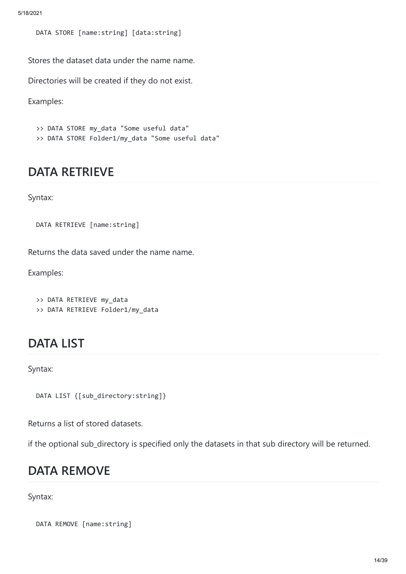DATA STORE [name:string] [data:string]

Stores the dataset data under the name name.

Directories will be created if they do not exist.

Examples:

```
>> DATA STORE my_data "Some useful data"
```
>> DATA STORE Folder1/my data "Some useful data"

#### **DATA RETRIEVE**

Syntax:

```
DATA RETRIEVE [name:string]
```
Returns the data saved under the name name.

Examples:

```
>> DATA RETRIEVE my_data
```
>> DATA RETRIEVE Folder1/my\_data

#### **DATA LIST**

Syntax:

```
DATA LIST {[sub_directory:string]}
```
Returns a list of stored datasets.

if the optional sub\_directory is specified only the datasets in that sub directory will be returned.

#### **DATA REMOVE**

```
DATA REMOVE [name:string]
```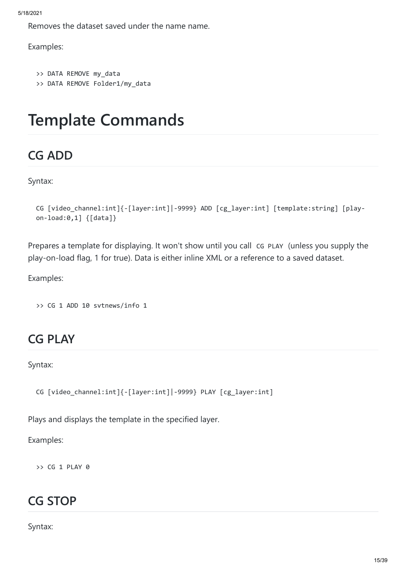```
5/18/2021
```
Removes the dataset saved under the name name.

Examples:

```
>> DATA REMOVE my data
>> DATA REMOVE Folder1/my_data
```
# **Template Commands**

# **CG ADD**

Syntax:

```
CG [video_channel:int]{-[layer:int]|-9999} ADD [cg_layer:int] [template:string] [play-
on-load:0,1] {[data]}
```
Prepares a template for displaying. It won't show until you call cG PLAY (unless you supply the play-on-load flag, 1 for true). Data is either inline XML or a reference to a saved dataset.

Examples:

>> CG 1 ADD 10 svtnews/info 1

# **CG PLAY**

Syntax:

```
CG [video_channel:int]{-[layer:int]|-9999} PLAY [cg_layer:int]
```
Plays and displays the template in the specified layer.

Examples:

 $\rightarrow$  CG 1 PLAY 0

### **CG STOP**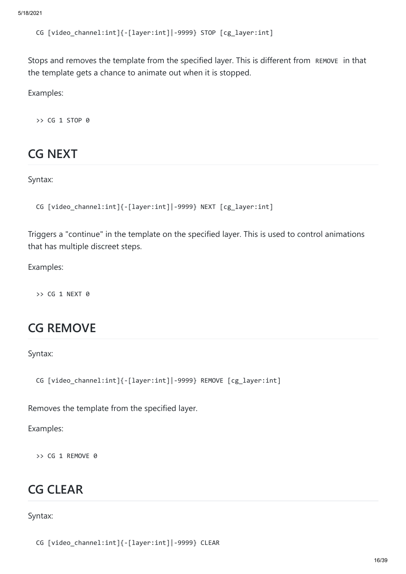CG [video\_channel:int]{-[layer:int]|-9999} STOP [cg\_layer:int]

Stops and removes the template from the specified layer. This is different from REMOVE in that the template gets a chance to animate out when it is stopped.

Examples:

>> CG 1 STOP 0

#### **CG NEXT**

Syntax:

```
CG [video_channel:int]{-[layer:int]|-9999} NEXT [cg_layer:int]
```
Triggers a "continue" in the template on the specified layer. This is used to control animations that has multiple discreet steps.

Examples:

>> CG 1 NEXT 0

#### **CG REMOVE**

Syntax:

CG [video\_channel:int]{-[layer:int]|-9999} REMOVE [cg\_layer:int]

Removes the template from the specified layer.

Examples:

 $\rightarrow$  CG 1 REMOVE  $\theta$ 

#### **CG CLEAR**

```
CG [video_channel:int]{-[layer:int]|-9999} CLEAR
```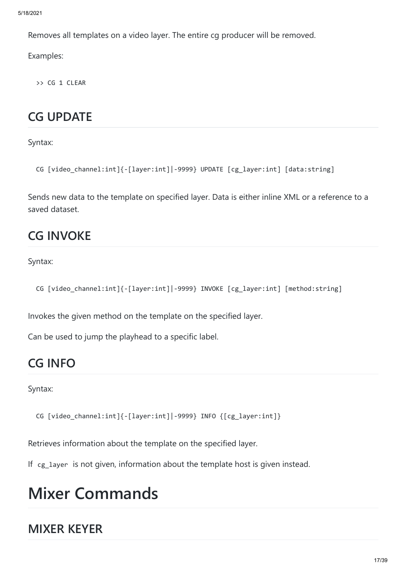Removes all templates on a video layer. The entire cg producer will be removed.

Examples:

>> CG 1 CLEAR

# **CG UPDATE**

Syntax:

```
CG [video channel:int]{-[layer:int]|-9999} UPDATE [cg_layer:int] [data:string]
```
Sends new data to the template on specified layer. Data is either inline XML or a reference to a saved dataset.

# **CG INVOKE**

Syntax:

```
CG [video channel:int]{-[layer:int]|-9999} INVOKE [cg_layer:int] [method:string]
```
Invokes the given method on the template on the specified layer.

Can be used to jump the playhead to a specific label.

# **CG INFO**

Syntax:

CG [video\_channel:int]{-[layer:int]|-9999} INFO {[cg\_layer:int]}

Retrieves information about the template on the specified layer.

If cg\_layer is not given, information about the template host is given instead.

# **Mixer Commands**

# **MIXER KEYER**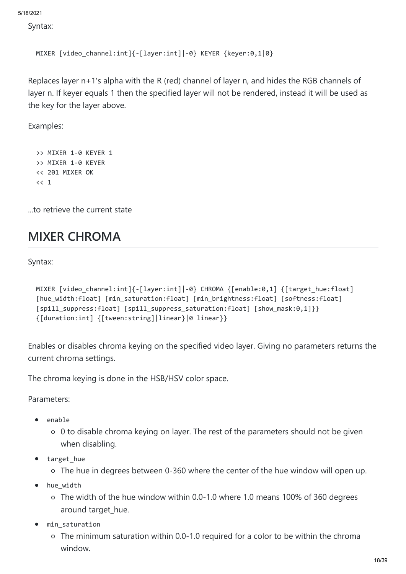Syntax:

```
MIXER [video_channel:int]{-[layer:int]|-0} KEYER {keyer:0,1|0}
```
Replaces layer n+1's alpha with the R (red) channel of layer n, and hides the RGB channels of layer n. If keyer equals 1 then the specified layer will not be rendered, instead it will be used as the key for the layer above.

Examples:

```
>> MIXER 1-0 KEYER 1
>> MIXER 1-0 KEYER
<< 201 MIXER OK
<< 1
```
...to retrieve the current state

### **MIXER CHROMA**

Syntax:

```
MIXER [video_channel:int]{-[layer:int]|-0} CHROMA {[enable:0,1] {[target_hue:float] 
[hue width:float] [min saturation:float] [min brightness:float] [softness:float]
[spill_suppress:float] [spill_suppress_saturation:float] [show_mask:0,1]}} 
{[duration:int] {[tween:string]|linear}|0 linear}}
```
Enables or disables chroma keying on the specified video layer. Giving no parameters returns the current chroma settings.

The chroma keying is done in the HSB/HSV color space.

Parameters:

- enable
	- 0 to disable chroma keying on layer. The rest of the parameters should not be given when disabling.
- target\_hue
	- The hue in degrees between 0-360 where the center of the hue window will open up.
- hue\_width  $\bullet$ 
	- The width of the hue window within 0.0-1.0 where 1.0 means 100% of 360 degrees around target\_hue.
- min\_saturation
	- The minimum saturation within 0.0-1.0 required for a color to be within the chroma window.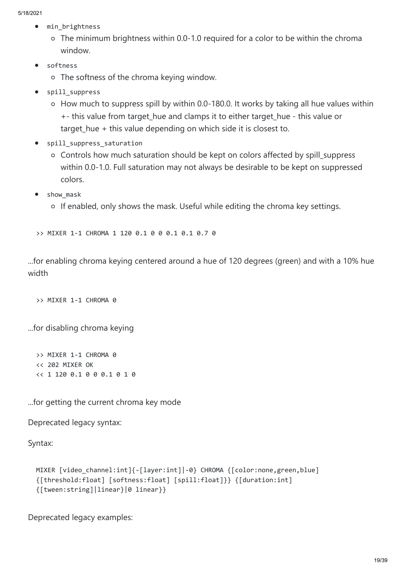- min\_brightness  $\bullet$ 
	- The minimum brightness within 0.0-1.0 required for a color to be within the chroma window.
- softness  $\bullet$ 
	- The softness of the chroma keying window.
- spill\_suppress
	- How much to suppress spill by within 0.0-180.0. It works by taking all hue values within +- this value from target\_hue and clamps it to either target\_hue - this value or target\_hue + this value depending on which side it is closest to.
- spill\_suppress\_saturation
	- Controls how much saturation should be kept on colors affected by spill\_suppress within 0.0-1.0. Full saturation may not always be desirable to be kept on suppressed colors.
- show\_mask
	- o If enabled, only shows the mask. Useful while editing the chroma key settings.

>> MIXER 1-1 CHROMA 1 120 0.1 0 0 0.1 0.1 0.7 0

...for enabling chroma keying centered around a hue of 120 degrees (green) and with a 10% hue width

>> MIXER 1-1 CHROMA 0

...for disabling chroma keying

>> MIXER 1-1 CHROMA 0 << 202 MIXER OK << 1 120 0.1 0 0 0.1 0 1 0

...for getting the current chroma key mode

Deprecated legacy syntax:

Syntax:

```
MIXER [video channel:int]{-[layer:int]|-0} CHROMA {[color:none,green,blue]
{[threshold:float] [softness:float] [spill:float]}} {[duration:int] 
{[tween:string]|linear}|0 linear}}
```
Deprecated legacy examples: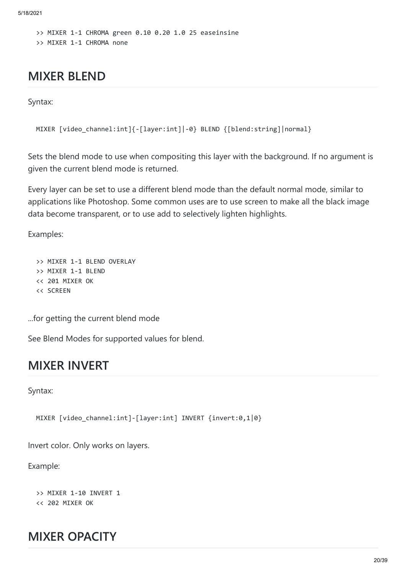>> MIXER 1-1 CHROMA green 0.10 0.20 1.0 25 easeinsine >> MIXER 1-1 CHROMA none

#### **MIXER BLEND**

Syntax:

```
MIXER [video_channel:int]{-[layer:int]|-0} BLEND {[blend:string]|normal}
```
Sets the blend mode to use when compositing this layer with the background. If no argument is given the current blend mode is returned.

Every layer can be set to use a different blend mode than the default normal mode, similar to applications like Photoshop. Some common uses are to use screen to make all the black image data become transparent, or to use add to selectively lighten highlights.

Examples:

```
>> MIXER 1-1 BLEND OVERLAY
>> MIXER 1-1 BLEND
<< 201 MIXER OK
<< SCREEN
```
...for getting the current blend mode

See Blend Modes for supported values for blend.

#### **MIXER INVERT**

Syntax:

MIXER [video\_channel:int]-[layer:int] INVERT {invert:0,1|0}

Invert color. Only works on layers.

Example:

>> MIXER 1-10 INVERT 1 << 202 MIXER OK

#### **MIXER OPACITY**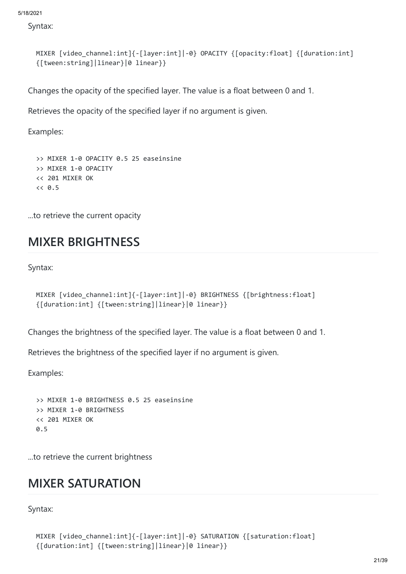Syntax:

```
MIXER [video_channel:int]{-[layer:int]|-0} OPACITY {[opacity:float] {[duration:int] 
{[tween:string]|linear}|0 linear}}
```
Changes the opacity of the specified layer. The value is a float between 0 and 1.

Retrieves the opacity of the specified layer if no argument is given.

Examples:

```
>> MIXER 1-0 OPACITY 0.5 25 easeinsine
>> MIXER 1-0 OPACITY
<< 201 MIXER OK
<< 0.5
```
...to retrieve the current opacity

#### **MIXER BRIGHTNESS**

Syntax:

```
MIXER [video channel:int]{-[layer:int]|-0} BRIGHTNESS {[brightness:float]
{[duration:int] {[tween:string]|linear}|0 linear}}
```
Changes the brightness of the specified layer. The value is a float between 0 and 1.

Retrieves the brightness of the specified layer if no argument is given.

Examples:

```
>> MIXER 1-0 BRIGHTNESS 0.5 25 easeinsine
>> MIXER 1-0 BRIGHTNESS
<< 201 MIXER OK
0.5
```
...to retrieve the current brightness

#### **MIXER SATURATION**

```
MIXER [video_channel:int]{-[layer:int]|-0} SATURATION {[saturation:float] 
{[duration:int] {[tween:string]|linear}|0 linear}}
```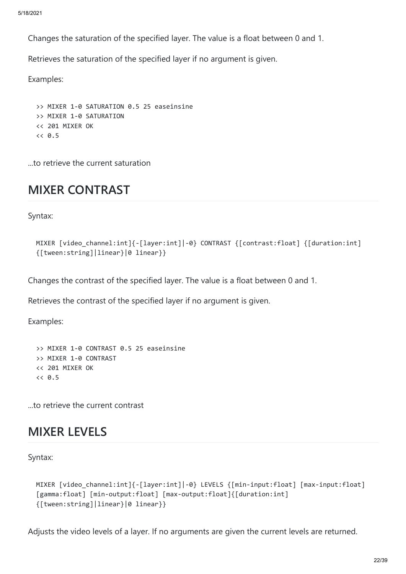Changes the saturation of the specified layer. The value is a float between 0 and 1.

Retrieves the saturation of the specified layer if no argument is given.

Examples:

>> MIXER 1-0 SATURATION 0.5 25 easeinsine >> MIXER 1-0 SATURATION << 201 MIXER OK  $<< 0.5$ 

...to retrieve the current saturation

### **MIXER CONTRAST**

Syntax:

```
MIXER [video channel:int]{-[layer:int]|-0} CONTRAST {[contrast:float] {[duration:int]
{[tween:string]|linear}|0 linear}}
```
Changes the contrast of the specified layer. The value is a float between 0 and 1.

Retrieves the contrast of the specified layer if no argument is given.

Examples:

```
>> MIXER 1-0 CONTRAST 0.5 25 easeinsine
>> MIXER 1-0 CONTRAST
<< 201 MIXER OK
<< 0.5
```
...to retrieve the current contrast

#### **MIXER LEVELS**

Syntax:

```
MIXER [video_channel:int]{-[layer:int]|-0} LEVELS {[min-input:float] [max-input:float] 
[gamma:float] [min-output:float] [max-output:float]{[duration:int] 
{[tween:string]|linear}|0 linear}}
```
Adjusts the video levels of a layer. If no arguments are given the current levels are returned.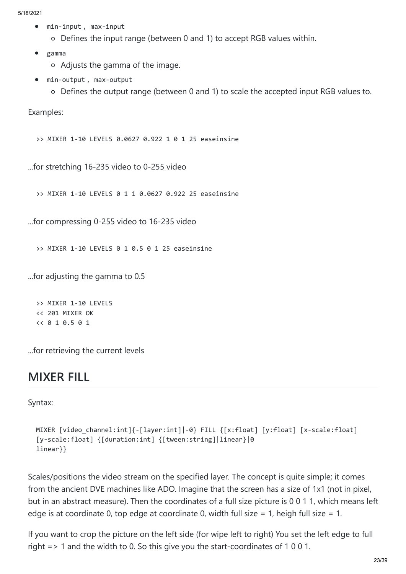- min-input , max-input  $\bullet$ 
	- Defines the input range (between 0 and 1) to accept RGB values within.
- gamma
	- Adjusts the gamma of the image.
- min-output , max-output
	- Defines the output range (between 0 and 1) to scale the accepted input RGB values to.

Examples:

>> MIXER 1-10 LEVELS 0.0627 0.922 1 0 1 25 easeinsine

...for stretching 16-235 video to 0-255 video

>> MIXER 1-10 LEVELS 0 1 1 0.0627 0.922 25 easeinsine

...for compressing 0-255 video to 16-235 video

>> MIXER 1-10 LEVELS 0 1 0.5 0 1 25 easeinsine

...for adjusting the gamma to 0.5

>> MIXER 1-10 LEVELS << 201 MIXER OK << 0 1 0.5 0 1

...for retrieving the current levels

#### **MIXER FILL**

Syntax:

```
MIXER [video channel:int]{-[layer:int]|-0} FILL {[x:float] [y:float] [x-scale:float]
[y-scale:float] {[duration:int] {[tween:string]|linear}|0 
linear}}
```
Scales/positions the video stream on the specified layer. The concept is quite simple; it comes from the ancient DVE machines like ADO. Imagine that the screen has a size of 1x1 (not in pixel, but in an abstract measure). Then the coordinates of a full size picture is 0 0 1 1, which means left edge is at coordinate 0, top edge at coordinate 0, width full size = 1, heigh full size = 1.

If you want to crop the picture on the left side (for wipe left to right) You set the left edge to full right => 1 and the width to 0. So this give you the start-coordinates of 1 0 0 1.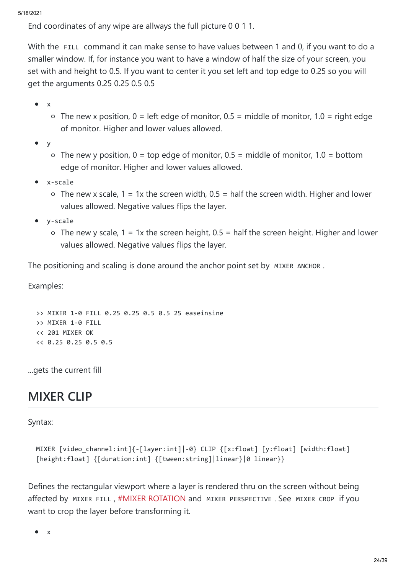End coordinates of any wipe are allways the full picture 0 0 1 1.

With the FILL command it can make sense to have values between 1 and 0, if you want to do a smaller window. If, for instance you want to have a window of half the size of your screen, you set with and height to 0.5. If you want to center it you set left and top edge to 0.25 so you will get the arguments 0.25 0.25 0.5 0.5

- x
	- $\circ$  The new x position, 0 = left edge of monitor, 0.5 = middle of monitor, 1.0 = right edge of monitor. Higher and lower values allowed.
- $\bullet$ y
	- $\circ$  The new y position, 0 = top edge of monitor, 0.5 = middle of monitor, 1.0 = bottom edge of monitor. Higher and lower values allowed.
- x-scale
	- $\circ$  The new x scale, 1 = 1x the screen width, 0.5 = half the screen width. Higher and lower values allowed. Negative values flips the layer.
- y-scale
	- $\circ$  The new y scale, 1 = 1x the screen height, 0.5 = half the screen height. Higher and lower values allowed. Negative values flips the layer.

The positioning and scaling is done around the anchor point set by MIXER ANCHOR.

Examples:

>> MIXER 1-0 FILL 0.25 0.25 0.5 0.5 25 easeinsine >> MIXER 1-0 FILL << 201 MIXER OK << 0.25 0.25 0.5 0.5

...gets the current fill

#### **MIXER CLIP**

Syntax:

```
MIXER [video channel:int]{-[layer:int]|-0} CLIP {[x:float] [y:float] [width:float]
[height:float] {[duration:int] {[tween:string]|linear}|0 linear}}
```
Defines the rectangular viewport where a layer is rendered thru on the screen without being affected by MIXER FILL , [#MIXER ROTATION](https://github.com/CasparCG/help/wiki/MIXER-ROTATION) and MIXER PERSPECTIVE . See MIXER CROP if you want to crop the layer before transforming it.

 $\bullet$ x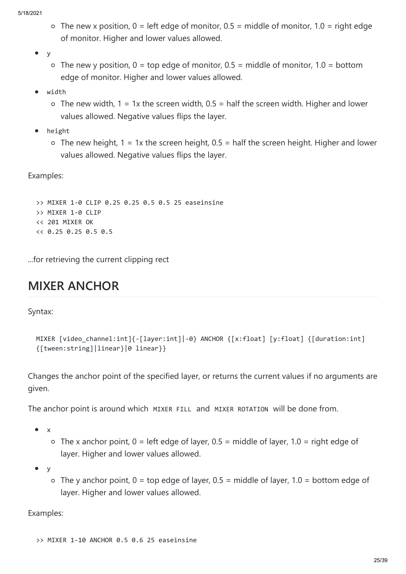- $\circ$  The new x position, 0 = left edge of monitor, 0.5 = middle of monitor, 1.0 = right edge of monitor. Higher and lower values allowed.
- $\bullet$ y
	- $\circ$  The new y position,  $0 = \text{top}$  edge of monitor,  $0.5 = \text{middle}$  of monitor,  $1.0 = \text{bottom}$ edge of monitor. Higher and lower values allowed.
- width
	- $\circ$  The new width, 1 = 1x the screen width, 0.5 = half the screen width. Higher and lower values allowed. Negative values flips the layer.
- height  $\bullet$ 
	- $\circ$  The new height, 1 = 1x the screen height, 0.5 = half the screen height. Higher and lower values allowed. Negative values flips the layer.

Examples:

>> MIXER 1-0 CLIP 0.25 0.25 0.5 0.5 25 easeinsine >> MIXER 1-0 CLIP << 201 MIXER OK << 0.25 0.25 0.5 0.5

...for retrieving the current clipping rect

# **MIXER ANCHOR**

Syntax:

```
MIXER [video_channel:int]{-[layer:int]|-0} ANCHOR {[x:float] [y:float] {[duration:int] 
{[tween:string]|linear}|0 linear}}
```
Changes the anchor point of the specified layer, or returns the current values if no arguments are given.

The anchor point is around which MIXER FILL and MIXER ROTATION will be done from.

 $\bullet$ x

> $\circ$  The x anchor point,  $0 =$  left edge of layer,  $0.5 =$  middle of layer,  $1.0 =$  right edge of layer. Higher and lower values allowed.

 $\bullet$ y

> $\circ$  The y anchor point, 0 = top edge of layer, 0.5 = middle of layer, 1.0 = bottom edge of layer. Higher and lower values allowed.

Examples: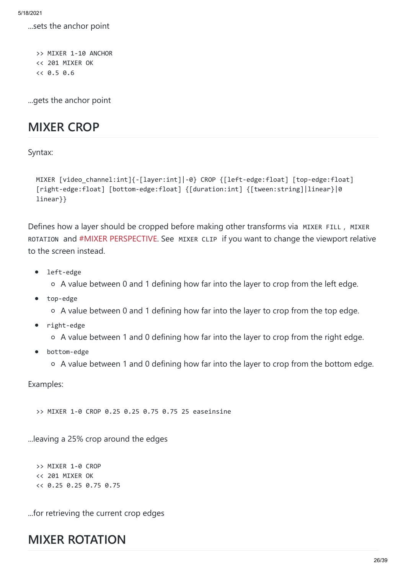...sets the anchor point

>> MIXER 1-10 ANCHOR << 201 MIXER OK  $<< 0.5$  0.6

...gets the anchor point

#### **MIXER CROP**

Syntax:

```
MIXER [video channel:int]{-[layer:int]|-0} CROP {[left-edge:float] [top-edge:float]
[right-edge:float] [bottom-edge:float] {[duration:int] {[tween:string]|linear}|0 
linear}}
```
Defines how a layer should be cropped before making other transforms via MIXER FILL, MIXER ROTATION and [#MIXER PERSPECTIVE.](https://github.com/CasparCG/help/wiki/MIXER-PERSPECTIVE) See MIXER CLIP if you want to change the viewport relative to the screen instead.

- left-edge  $\bullet$ 
	- A value between 0 and 1 defining how far into the layer to crop from the left edge.
- $\bullet$ top-edge
	- A value between 0 and 1 defining how far into the layer to crop from the top edge.
- right-edge  $\bullet$ 
	- A value between 1 and 0 defining how far into the layer to crop from the right edge.
- bottom-edge
	- A value between 1 and 0 defining how far into the layer to crop from the bottom edge.

Examples:

>> MIXER 1-0 CROP 0.25 0.25 0.75 0.75 25 easeinsine

...leaving a 25% crop around the edges

>> MIXER 1-0 CROP << 201 MIXER OK << 0.25 0.25 0.75 0.75

...for retrieving the current crop edges

#### **MIXER ROTATION**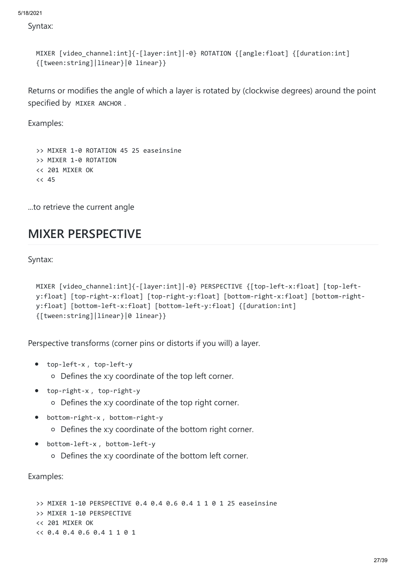Syntax:

```
MIXER [video_channel:int]{-[layer:int]|-0} ROTATION {[angle:float] {[duration:int] 
{[tween:string]|linear}|0 linear}}
```
Returns or modifies the angle of which a layer is rotated by (clockwise degrees) around the point specified by MIXER ANCHOR .

Examples:

```
>> MIXER 1-0 ROTATION 45 25 easeinsine
>> MIXER 1-0 ROTATION
<< 201 MIXER OK
<< 45
```
...to retrieve the current angle

#### **MIXER PERSPECTIVE**

Syntax:

```
MIXER [video channel:int]{-[layer:int]|-0} PERSPECTIVE {[top-left-x:float] [top-left-
y:float] [top-right-x:float] [top-right-y:float] [bottom-right-x:float] [bottom-right-
y:float] [bottom-left-x:float] [bottom-left-y:float] {[duration:int] 
{[tween:string]|linear}|0 linear}}
```
Perspective transforms (corner pins or distorts if you will) a layer.

- top-left-x , top-left-y
	- Defines the x:y coordinate of the top left corner.
- top-right-x , top-right-y  $\bullet$ 
	- Defines the x:y coordinate of the top right corner.
- bottom-right-x , bottom-right-y
	- Defines the x:y coordinate of the bottom right corner.
- bottom-left-x , bottom-left-y  $\bullet$ 
	- Defines the x:y coordinate of the bottom left corner.

Examples:

```
>> MIXER 1-10 PERSPECTIVE 0.4 0.4 0.6 0.4 1 1 0 1 25 easeinsine
>> MIXER 1-10 PERSPECTIVE
<< 201 MIXER OK
<< 0.4 0.4 0.6 0.4 1 1 0 1
```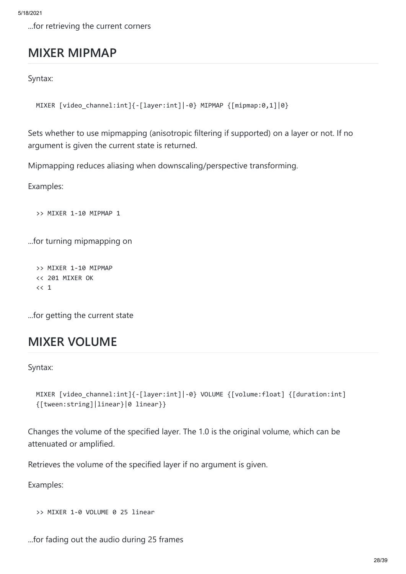...for retrieving the current corners

### **MIXER MIPMAP**

Syntax:

```
MIXER [video_channel:int]{-[layer:int]|-0} MIPMAP {[mipmap:0,1]|0}
```
Sets whether to use mipmapping (anisotropic filtering if supported) on a layer or not. If no argument is given the current state is returned.

Mipmapping reduces aliasing when downscaling/perspective transforming.

Examples:

>> MIXER 1-10 MIPMAP 1

...for turning mipmapping on

>> MIXER 1-10 MIPMAP << 201 MIXER OK  $<< 1$ 

...for getting the current state

#### **MIXER VOLUME**

Syntax:

```
MIXER [video_channel:int]{-[layer:int]|-0} VOLUME {[volume:float] {[duration:int] 
{[tween:string]|linear}|0 linear}}
```
Changes the volume of the specified layer. The 1.0 is the original volume, which can be attenuated or amplified.

Retrieves the volume of the specified layer if no argument is given.

Examples:

>> MIXER 1-0 VOLUME 0 25 linear

...for fading out the audio during 25 frames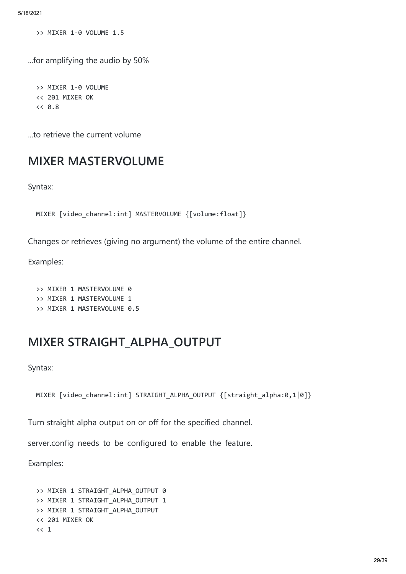>> MIXER 1-0 VOLUME 1.5

...for amplifying the audio by 50%

>> MIXER 1-0 VOLUME << 201 MIXER OK  $<< 0.8$ 

...to retrieve the current volume

#### **MIXER MASTERVOLUME**

Syntax:

MIXER [video channel:int] MASTERVOLUME {[volume:float]}

Changes or retrieves (giving no argument) the volume of the entire channel.

Examples:

>> MIXER 1 MASTERVOLUME 0 >> MIXER 1 MASTERVOLUME 1 >> MIXER 1 MASTERVOLUME 0.5

#### **MIXER STRAIGHT\_ALPHA\_OUTPUT**

Syntax:

```
MIXER [video_channel:int] STRAIGHT_ALPHA_OUTPUT {[straight_alpha:0,1|0]}
```
Turn straight alpha output on or off for the specified channel.

server.config needs to be configured to enable the feature.

Examples:

```
>> MIXER 1 STRAIGHT ALPHA OUTPUT 0
>> MIXER 1 STRAIGHT_ALPHA_OUTPUT 1
>> MIXER 1 STRAIGHT_ALPHA_OUTPUT
<< 201 MIXER OK
<< 1
```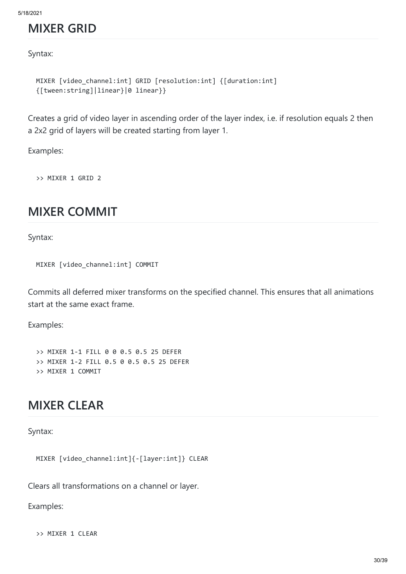#### **MIXER GRID**

Syntax:

```
MIXER [video_channel:int] GRID [resolution:int] {[duration:int] 
{[tween:string]|linear}|0 linear}}
```
Creates a grid of video layer in ascending order of the layer index, i.e. if resolution equals 2 then a 2x2 grid of layers will be created starting from layer 1.

Examples:

>> MIXER 1 GRID 2

#### **MIXER COMMIT**

Syntax:

```
MIXER [video_channel:int] COMMIT
```
Commits all deferred mixer transforms on the specified channel. This ensures that all animations start at the same exact frame.

Examples:

>> MIXER 1-1 FILL 0 0 0.5 0.5 25 DEFER >> MIXER 1-2 FILL 0.5 0 0.5 0.5 25 DEFER >> MIXER 1 COMMIT

#### **MIXER CLEAR**

Syntax:

MIXER [video\_channel:int]{-[layer:int]} CLEAR

Clears all transformations on a channel or layer.

Examples:

>> MIXER 1 CLEAR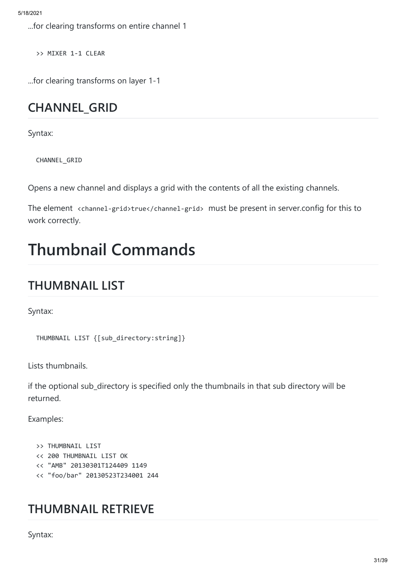...for clearing transforms on entire channel 1

>> MIXER 1-1 CLEAR

...for clearing transforms on layer 1-1

# **CHANNEL\_GRID**

Syntax:

CHANNEL\_GRID

Opens a new channel and displays a grid with the contents of all the existing channels.

The element <channel-grid>true</channel-grid> must be present in server.config for this to work correctly.

# **Thumbnail Commands**

# **THUMBNAIL LIST**

Syntax:

THUMBNAIL LIST {[sub\_directory:string]}

Lists thumbnails.

if the optional sub\_directory is specified only the thumbnails in that sub directory will be returned.

Examples:

```
>> THUMBNATL LTST
<< 200 THUMBNAIL LIST OK
<< "AMB" 20130301T124409 1149
<< "foo/bar" 20130523T234001 244
```
### **THUMBNAIL RETRIEVE**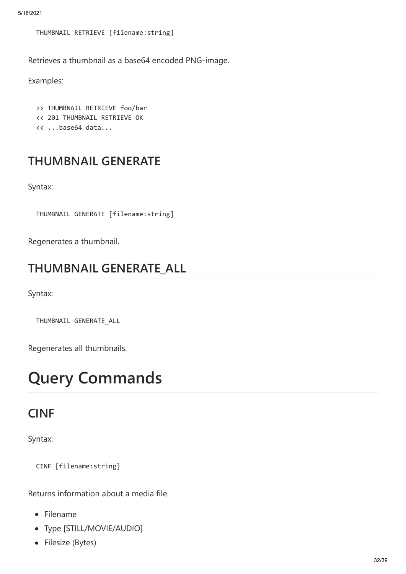```
THUMBNAIL RETRIEVE [filename:string]
```
Retrieves a thumbnail as a base64 encoded PNG-image.

Examples:

>> THUMBNAIL RETRIEVE foo/bar << 201 THUMBNAIL RETRIEVE OK << ...base64 data...

# **THUMBNAIL GENERATE**

Syntax:

THUMBNAIL GENERATE [filename:string]

Regenerates a thumbnail.

### **THUMBNAIL GENERATE\_ALL**

Syntax:

THUMBNAIL GENERATE\_ALL

Regenerates all thumbnails.

# **Query Commands**

#### **CINF**

Syntax:

CINF [filename:string]

Returns information about a media file.

- Filename
- Type [STILL/MOVIE/AUDIO]
- Filesize (Bytes)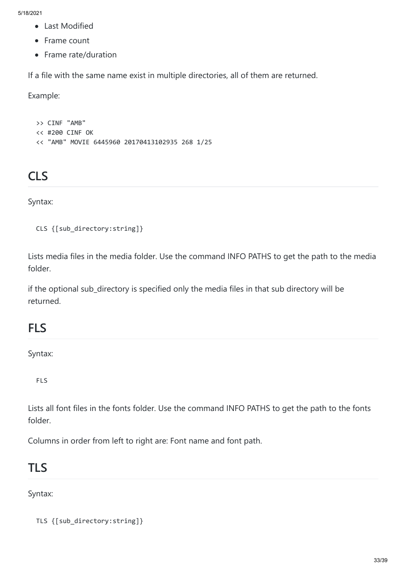- Last Modified
- Frame count
- Frame rate/duration

If a file with the same name exist in multiple directories, all of them are returned.

Example:

>> CINF "AMB" << #200 CINF OK << "AMB" MOVIE 6445960 20170413102935 268 1/25

# **CLS**

Syntax:

```
CLS {[sub directory:string]}
```
Lists media files in the media folder. Use the command INFO PATHS to get the path to the media folder.

if the optional sub\_directory is specified only the media files in that sub directory will be returned.

#### **FLS**

Syntax:

FLS

Lists all font files in the fonts folder. Use the command INFO PATHS to get the path to the fonts folder.

Columns in order from left to right are: Font name and font path.

#### **TLS**

Syntax:

TLS {[sub\_directory:string]}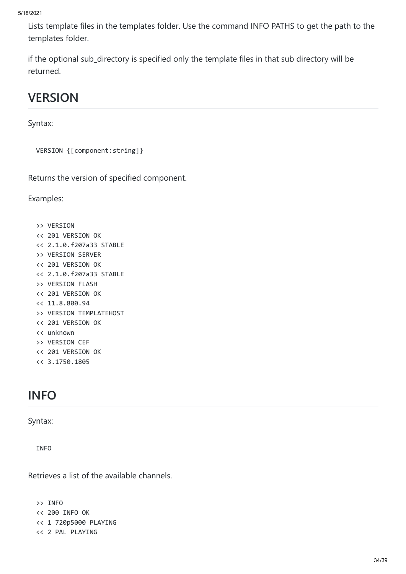Lists template files in the templates folder. Use the command INFO PATHS to get the path to the templates folder.

if the optional sub\_directory is specified only the template files in that sub directory will be returned.

# **VERSION**

Syntax:

```
VERSION {[component:string]}
```
Returns the version of specified component.

Examples:

>> VERSION << 201 VERSION OK << 2.1.0.f207a33 STABLE >> VERSION SERVER << 201 VERSION OK << 2.1.0.f207a33 STABLE >> VERSION FLASH << 201 VERSION OK << 11.8.800.94 >> VERSION TEMPLATEHOST << 201 VERSION OK << unknown >> VERSION CEF << 201 VERSION OK << 3.1750.1805

# **INFO**

Syntax:

INFO

Retrieves a list of the available channels.

>> INFO << 200 INFO OK << 1 720p5000 PLAYING << 2 PAL PLAYING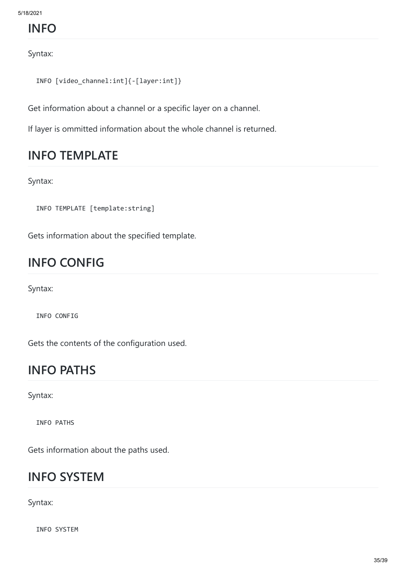### **INFO**

Syntax:

```
INFO [video_channel:int]{-[layer:int]}
```
Get information about a channel or a specific layer on a channel.

If layer is ommitted information about the whole channel is returned.

### **INFO TEMPLATE**

Syntax:

INFO TEMPLATE [template:string]

Gets information about the specified template.

# **INFO CONFIG**

Syntax:

INFO CONFIG

Gets the contents of the configuration used.

### **INFO PATHS**

Syntax:

INFO PATHS

Gets information about the paths used.

#### **INFO SYSTEM**

Syntax:

INFO SYSTEM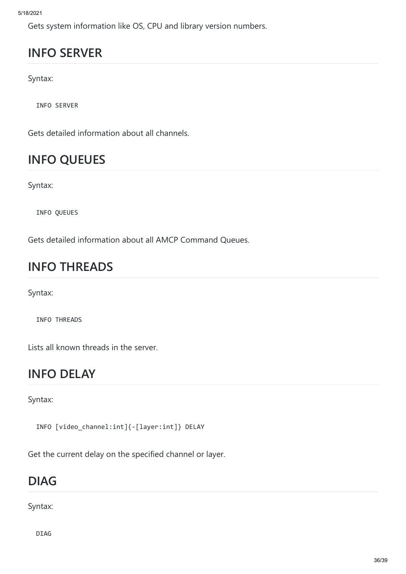Gets system information like OS, CPU and library version numbers.

# **INFO SERVER**

Syntax:

INFO SERVER

Gets detailed information about all channels.

# **INFO QUEUES**

Syntax:

INFO QUEUES

Gets detailed information about all AMCP Command Queues.

# **INFO THREADS**

Syntax:

INFO THREADS

Lists all known threads in the server.

#### **INFO DELAY**

Syntax:

INFO [video\_channel:int]{-[layer:int]} DELAY

Get the current delay on the specified channel or layer.

### **DIAG**

Syntax:

DIAG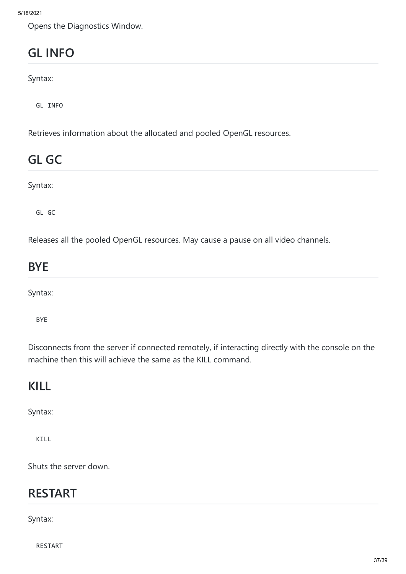Opens the Diagnostics Window.

# **GL INFO**

Syntax:

GL INFO

Retrieves information about the allocated and pooled OpenGL resources.

# **GL GC**

Syntax:

GL GC

Releases all the pooled OpenGL resources. May cause a pause on all video channels.

# **BYE**

Syntax:

BYE

Disconnects from the server if connected remotely, if interacting directly with the console on the machine then this will achieve the same as the KILL command.

#### **KILL**

Syntax:

KILL

Shuts the server down.

#### **RESTART**

Syntax:

RESTART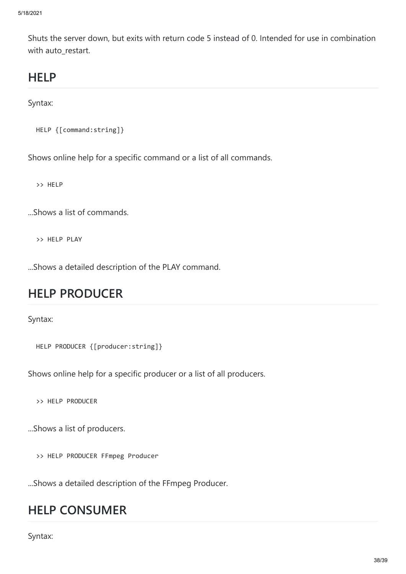Shuts the server down, but exits with return code 5 instead of 0. Intended for use in combination with auto restart.

### **HELP**

Syntax:

```
HELP {[command:string]}
```
Shows online help for a specific command or a list of all commands.

>> HELP

...Shows a list of commands.

>> HELP PLAY

...Shows a detailed description of the PLAY command.

#### **HELP PRODUCER**

Syntax:

```
HELP PRODUCER {[producer:string]}
```
Shows online help for a specific producer or a list of all producers.

>> HELP PRODUCER

...Shows a list of producers.

>> HELP PRODUCER FFmpeg Producer

...Shows a detailed description of the FFmpeg Producer.

#### **HELP CONSUMER**